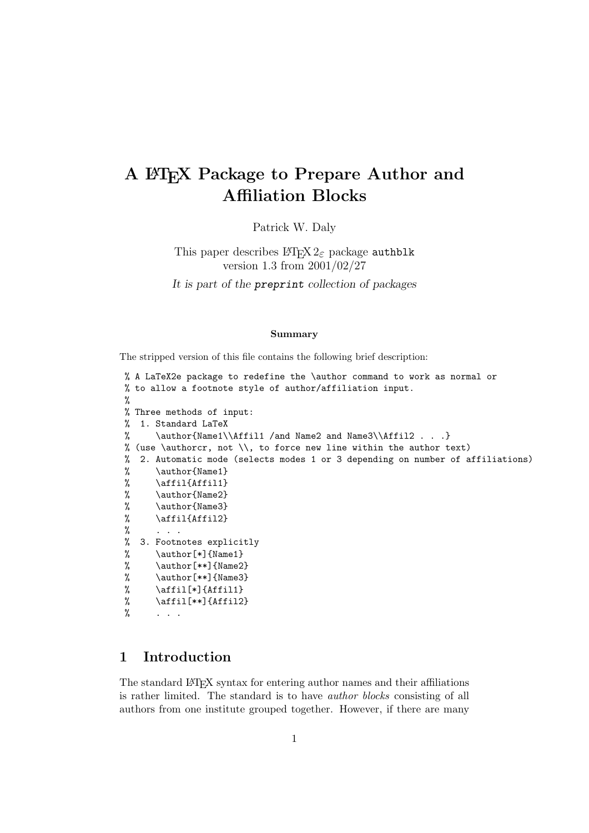# A LATEX Package to Prepare Author and Affiliation Blocks

Patrick W. Daly

This paper describes  $\angle M_F X2_{\epsilon}$  package authblk version 1.3 from 2001/02/27 It is part of the preprint collection of packages

#### Summary

The stripped version of this file contains the following brief description:

```
% A LaTeX2e package to redefine the \author command to work as normal or
% to allow a footnote style of author/affiliation input.
%
% Three methods of input:
% 1. Standard LaTeX
% \author{Name1\\Affil1 /and Name2 and Name3\\Affil2 . . .}
% (use \authorcr, not \\, to force new line within the author text)
% 2. Automatic mode (selects modes 1 or 3 depending on number of affiliations)<br>% \author{Name1}
     \author{Name1}
% \affil{Affil1}
% \author{Name2}
% \author{Name3}
% \affil{Affil2}
\% . . .
% 3. Footnotes explicitly
% \author[*]{Name1}
% \author[**]{Name2}
% \author[**]{Name3}
% \ \affil[*]{Affil1}
% \affil[**]{Affil2}
\% . . .
```
## 1 Introduction

The standard LATEX syntax for entering author names and their affiliations is rather limited. The standard is to have author blocks consisting of all authors from one institute grouped together. However, if there are many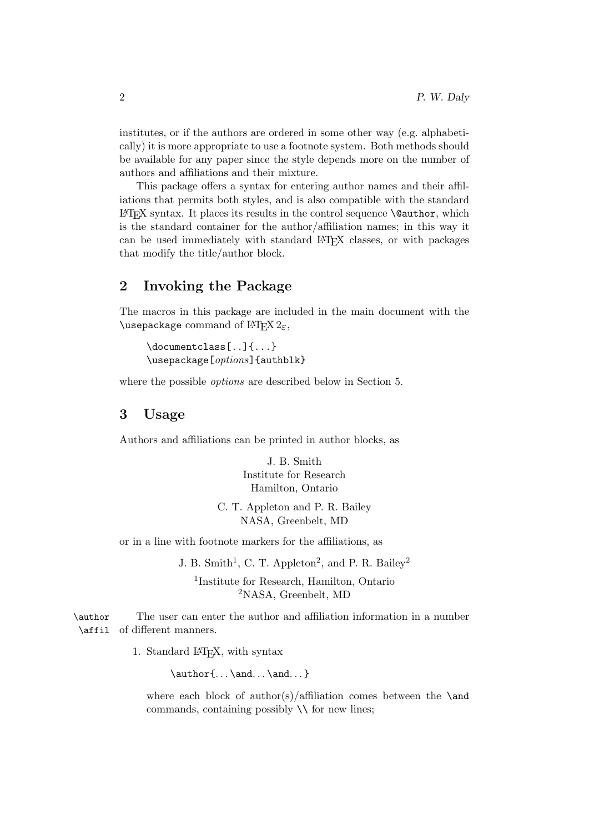institutes, or if the authors are ordered in some other way (e.g. alphabetically) it is more appropriate to use a footnote system. Both methods should be available for any paper since the style depends more on the number of authors and affiliations and their mixture.

This package offers a syntax for entering author names and their affiliations that permits both styles, and is also compatible with the standard  $\LaTeX\ syntax.$  It places its results in the control sequence **\@author**, which is the standard container for the author/affiliation names; in this way it can be used immediately with standard LATEX classes, or with packages that modify the title/author block.

### 2 Invoking the Package

The macros in this package are included in the main document with the \usepackage command of  $\operatorname{LTF} \lambda_{\varepsilon}$ ,

```
\documentclass[..]{...}
\usepackage[options]{authblk}
```
where the possible options are described below in Section 5.

### 3 Usage

Authors and affiliations can be printed in author blocks, as

J. B. Smith Institute for Research Hamilton, Ontario

C. T. Appleton and P. R. Bailey NASA, Greenbelt, MD

or in a line with footnote markers for the affiliations, as

J. B. Smith<sup>1</sup>, C. T. Appleton<sup>2</sup>, and P. R. Bailey<sup>2</sup>

1 Institute for Research, Hamilton, Ontario <sup>2</sup>NASA, Greenbelt, MD

\author The user can enter the author and affiliation information in a number \affil of different manners.

1. Standard LATEX, with syntax

 $\author{ \ldots \and \ldots \}$ 

where each block of author(s)/affiliation comes between the **\and** commands, containing possibly  $\setminus \setminus$  for new lines;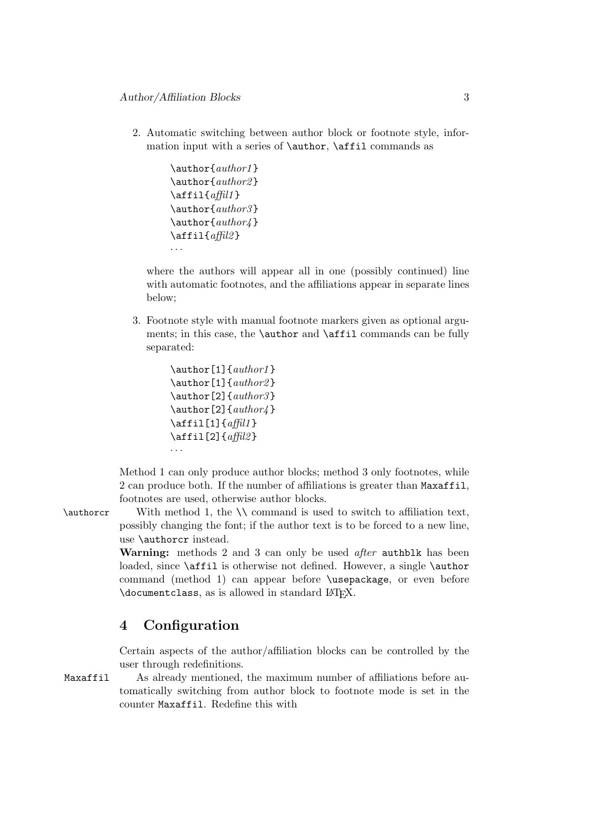2. Automatic switching between author block or footnote style, information input with a series of \author, \affil commands as

```
\author{author1 }
\author{author2 }
\left\{ \alpha f_{i} \right\}\author{author3 }
\author{author4 }
\alphafil{affil2}
· · ·
```
where the authors will appear all in one (possibly continued) line with automatic footnotes, and the affiliations appear in separate lines below;

3. Footnote style with manual footnote markers given as optional arguments; in this case, the **\author** and **\affil** commands can be fully separated:

```
\author[1]{author1}
\author[1]{author2}
\lambdauthor[2]{author3}
\author[2]{author4}
\left\{ \alpha f_{i1}[1]\right\}\alpha ffil2 }
· · ·
```
Method 1 can only produce author blocks; method 3 only footnotes, while 2 can produce both. If the number of affiliations is greater than Maxaffil, footnotes are used, otherwise author blocks.

\authorcr With method 1, the \\ command is used to switch to affiliation text, possibly changing the font; if the author text is to be forced to a new line, use \authorcr instead.

> Warning: methods 2 and 3 can only be used *after* authblk has been loaded, since **\affil** is otherwise not defined. However, a single **\author** command (method 1) can appear before \usepackage, or even before \documentclass, as is allowed in standard LATEX.

### 4 Configuration

Certain aspects of the author/affiliation blocks can be controlled by the user through redefinitions.

Maxaffil As already mentioned, the maximum number of affiliations before automatically switching from author block to footnote mode is set in the counter Maxaffil. Redefine this with